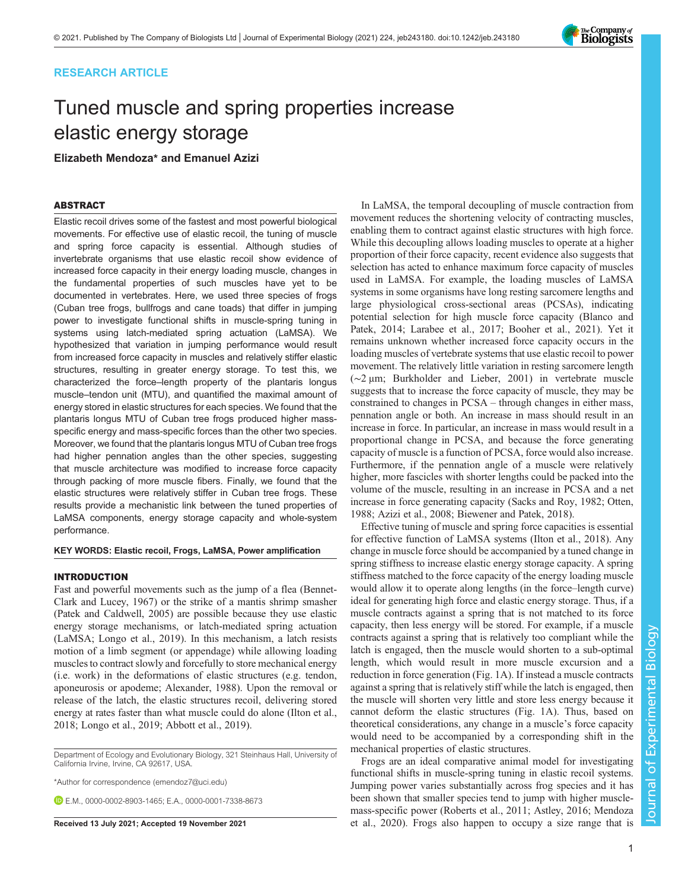# RESEARCH ARTICLE

# Tuned muscle and spring properties increase elastic energy storage

# Elizabeth Mendoza\* and Emanuel Azizi

# **ABSTRACT**

**Elastic recoil drives some of the fastest and most powerful biological** movements. For effective use of elastic recoil, the tuning of muscle and spring force capacity is essential. Although studies of invertebrate organisms that use elastic recoil show evidence of increased force capacity in their energy loading muscle, changes in the fundamental properties of such muscles have yet to be documented in vertebrates. Here, we used three species of frogs (Cuban tree frogs, bullfrogs and cane toads) that differ in jumping power to investigate functional shifts in muscle-spring tuning in systems using latch-mediated spring actuation (LaMSA). We hypothesized that variation in jumping performance would result from increased force capacity in muscles and relatively stiffer elastic structures, resulting in greater energy storage. To test this, we characterized the force–length property of the plantaris longus muscle–tendon unit (MTU), and quantified the maximal amount of energy stored in elastic structures for each species. We found that the plantaris longus MTU of Cuban tree frogs produced higher massspecific energy and mass-specific forces than the other two species. Moreover, we found that the plantaris longus MTU of Cuban tree frogs had higher pennation angles than the other species, suggesting that muscle architecture was modified to increase force capacity through packing of more muscle fibers. Finally, we found that the elastic structures were relatively stiffer in Cuban tree frogs. These results provide a mechanistic link between the tuned properties of LaMSA components, energy storage capacity and whole-system performance.

## KEY WORDS: Elastic recoil, Frogs, LaMSA, Power amplification

### **INTRODUCTION**

Fast and powerful movements such as the jump of a flea [\(Bennet-](#page-6-0)[Clark and Lucey, 1967\)](#page-6-0) or the strike of a mantis shrimp smasher [\(Patek and Caldwell, 2005](#page-6-0)) are possible because they use elastic energy storage mechanisms, or latch-mediated spring actuation (LaMSA; [Longo et al., 2019\)](#page-6-0). In this mechanism, a latch resists motion of a limb segment (or appendage) while allowing loading muscles to contract slowly and forcefully to store mechanical energy (i.e. work) in the deformations of elastic structures (e.g. tendon, aponeurosis or apodeme; [Alexander, 1988\)](#page-6-0). Upon the removal or release of the latch, the elastic structures recoil, delivering stored energy at rates faster than what muscle could do alone ([Ilton et al.,](#page-6-0) [2018](#page-6-0); [Longo et al., 2019](#page-6-0); [Abbott et al., 2019](#page-6-0)).

Department of Ecology and Evolutionary Biology, 321 Steinhaus Hall, University of California Irvine, Irvine, CA 92617, USA.

\*Author for correspondence [\(emendoz7@uci.edu\)](mailto:emendoz7@uci.edu)

**E.M.** [0000-0002-8903-1465;](http://orcid.org/0000-0002-8903-1465) E.A., [0000-0001-7338-8673](http://orcid.org/0000-0001-7338-8673)

In LaMSA, the temporal decoupling of muscle contraction from movement reduces the shortening velocity of contracting muscles, enabling them to contract against elastic structures with high force. While this decoupling allows loading muscles to operate at a higher proportion of their force capacity, recent evidence also suggests that selection has acted to enhance maximum force capacity of muscles used in LaMSA. For example, the loading muscles of LaMSA systems in some organisms have long resting sarcomere lengths and large physiological cross-sectional areas (PCSAs), indicating potential selection for high muscle force capacity ([Blanco and](#page-6-0) [Patek, 2014](#page-6-0); [Larabee et al., 2017; Booher et al., 2021](#page-6-0)). Yet it remains unknown whether increased force capacity occurs in the loading muscles of vertebrate systems that use elastic recoil to power movement. The relatively little variation in resting sarcomere length (∼2 μm; [Burkholder and Lieber, 2001](#page-6-0)) in vertebrate muscle suggests that to increase the force capacity of muscle, they may be constrained to changes in PCSA – through changes in either mass, pennation angle or both. An increase in mass should result in an increase in force. In particular, an increase in mass would result in a proportional change in PCSA, and because the force generating capacity of muscle is a function of PCSA, force would also increase. Furthermore, if the pennation angle of a muscle were relatively higher, more fascicles with shorter lengths could be packed into the volume of the muscle, resulting in an increase in PCSA and a net increase in force generating capacity [\(Sacks and Roy, 1982; Otten,](#page-6-0) [1988; Azizi et al., 2008; Biewener and Patek, 2018](#page-6-0)).

Effective tuning of muscle and spring force capacities is essential for effective function of LaMSA systems [\(Ilton et al., 2018](#page-6-0)). Any change in muscle force should be accompanied by a tuned change in spring stiffness to increase elastic energy storage capacity. A spring stiffness matched to the force capacity of the energy loading muscle would allow it to operate along lengths (in the force–length curve) ideal for generating high force and elastic energy storage. Thus, if a muscle contracts against a spring that is not matched to its force capacity, then less energy will be stored. For example, if a muscle contracts against a spring that is relatively too compliant while the latch is engaged, then the muscle would shorten to a sub-optimal length, which would result in more muscle excursion and a reduction in force generation ([Fig. 1](#page-1-0)A). If instead a muscle contracts against a spring that is relatively stiff while the latch is engaged, then the muscle will shorten very little and store less energy because it cannot deform the elastic structures [\(Fig. 1A](#page-1-0)). Thus, based on theoretical considerations, any change in a muscle's force capacity would need to be accompanied by a corresponding shift in the mechanical properties of elastic structures.

Frogs are an ideal comparative animal model for investigating functional shifts in muscle-spring tuning in elastic recoil systems. Jumping power varies substantially across frog species and it has been shown that smaller species tend to jump with higher musclemass-specific power ([Roberts et al., 2011; Astley, 2016](#page-6-0); [Mendoza](#page-6-0) Received 13 July 2021; Accepted 19 November 2021 [et al., 2020\)](#page-6-0). Frogs also happen to occupy a size range that is

Journal of Experimental Biology

Journal of

**Experimental** 

Biology

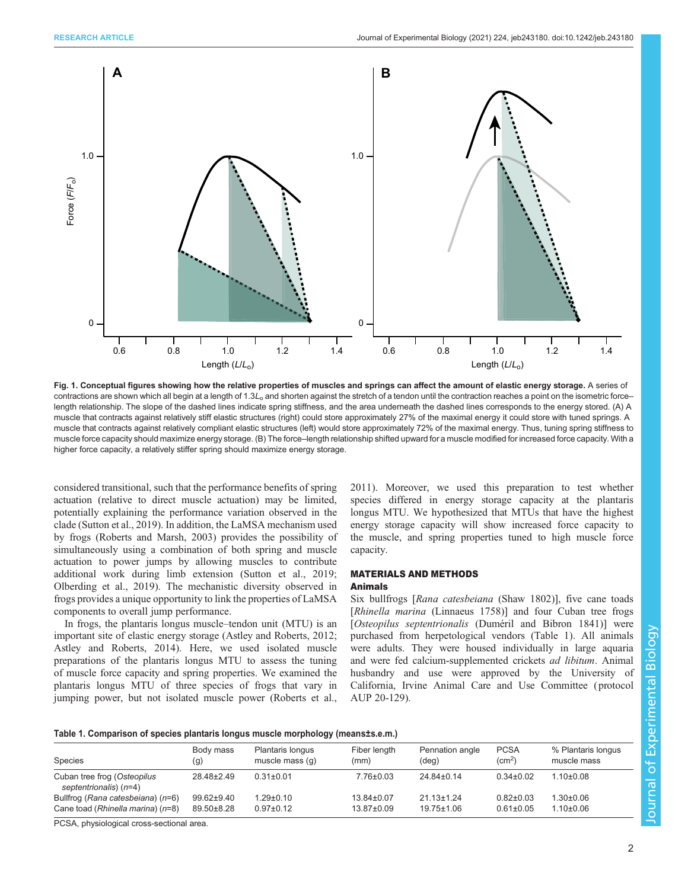<span id="page-1-0"></span>

Fig. 1. Conceptual figures showing how the relative properties of muscles and springs can affect the amount of elastic energy storage. A series of contractions are shown which all begin at a length of  $1.3L<sub>o</sub>$  and shorten against the stretch of a tendon until the contraction reaches a point on the isometric forcelength relationship. The slope of the dashed lines indicate spring stiffness, and the area underneath the dashed lines corresponds to the energy stored. (A) A muscle that contracts against relatively stiff elastic structures (right) could store approximately 27% of the maximal energy it could store with tuned springs. A muscle that contracts against relatively compliant elastic structures (left) would store approximately 72% of the maximal energy. Thus, tuning spring stiffness to muscle force capacity should maximize energy storage. (B) The force–length relationship shifted upward for a muscle modified for increased force capacity. With a higher force capacity, a relatively stiffer spring should maximize energy storage.

considered transitional, such that the performance benefits of spring actuation (relative to direct muscle actuation) may be limited, potentially explaining the performance variation observed in the clade ([Sutton et al., 2019](#page-6-0)). In addition, the LaMSA mechanism used by frogs [\(Roberts and Marsh, 2003](#page-6-0)) provides the possibility of simultaneously using a combination of both spring and muscle actuation to power jumps by allowing muscles to contribute additional work during limb extension ([Sutton et al., 2019](#page-6-0); [Olberding et al., 2019\)](#page-6-0). The mechanistic diversity observed in frogs provides a unique opportunity to link the properties of LaMSA components to overall jump performance.

In frogs, the plantaris longus muscle–tendon unit (MTU) is an important site of elastic energy storage ([Astley and Roberts, 2012](#page-6-0); [Astley and Roberts, 2014](#page-6-0)). Here, we used isolated muscle preparations of the plantaris longus MTU to assess the tuning of muscle force capacity and spring properties. We examined the plantaris longus MTU of three species of frogs that vary in jumping power, but not isolated muscle power [\(Roberts et al.,](#page-6-0)

[2011\)](#page-6-0). Moreover, we used this preparation to test whether species differed in energy storage capacity at the plantaris longus MTU. We hypothesized that MTUs that have the highest energy storage capacity will show increased force capacity to the muscle, and spring properties tuned to high muscle force capacity.

# MATERIALS AND METHODS

Six bullfrogs [*Rana catesbeiana* (Shaw 1802)], five cane toads [Rhinella marina (Linnaeus 1758)] and four Cuban tree frogs [Osteopilus septentrionalis (Duméril and Bibron 1841)] were purchased from herpetological vendors (Table 1). All animals were adults. They were housed individually in large aquaria and were fed calcium-supplemented crickets ad libitum. Animal husbandry and use were approved by the University of California, Irvine Animal Care and Use Committee ( protocol AUP 20-129).

## Table 1. Comparison of species plantaris longus muscle morphology (means±s.e.m.)

| <b>Species</b>                                                         | Body mass<br>(q)               | Plantaris longus<br>muscle mass (q) | Fiber length<br>(mm)                 | Pennation angle<br>(deq)             | <b>PCSA</b><br>$\text{cm}^2$ )     | % Plantaris longus<br>muscle mass  |
|------------------------------------------------------------------------|--------------------------------|-------------------------------------|--------------------------------------|--------------------------------------|------------------------------------|------------------------------------|
| Cuban tree frog (Osteopilus<br>septentrionalis) (n=4)                  | 28.48±2.49                     | $0.31 \pm 0.01$                     | $7.76 \pm 0.03$                      | $24.84 \pm 0.14$                     | $0.34 \pm 0.02$                    | $1.10+0.08$                        |
| Bullfrog (Rana catesbeiana) (n=6)<br>Cane toad (Rhinella marina) (n=8) | $99.62 \pm 9.40$<br>89.50±8.28 | $1.29 \pm 0.10$<br>$0.97 \pm 0.12$  | $13.84 \pm 0.07$<br>$13.87 \pm 0.09$ | $21.13 \pm 1.24$<br>$19.75 \pm 1.06$ | $0.82 \pm 0.03$<br>$0.61 \pm 0.05$ | $1.30 \pm 0.06$<br>$1.10 \pm 0.06$ |
|                                                                        |                                |                                     |                                      |                                      |                                    |                                    |

PCSA, physiological cross-sectional area.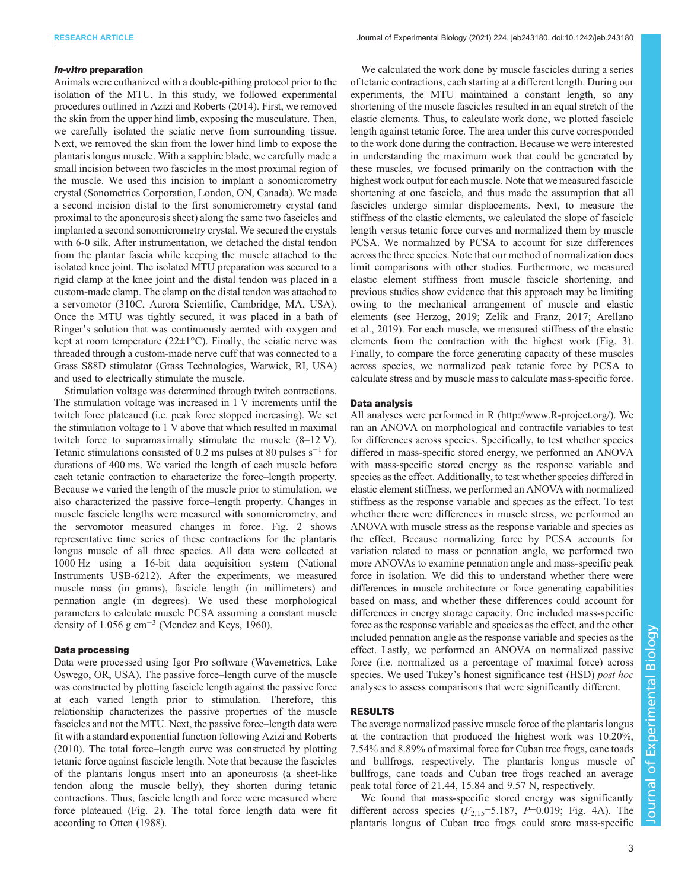### In-vitro preparation

Animals were euthanized with a double-pithing protocol prior to the isolation of the MTU. In this study, we followed experimental procedures outlined in [Azizi and Roberts \(2014\).](#page-6-0) First, we removed the skin from the upper hind limb, exposing the musculature. Then, we carefully isolated the sciatic nerve from surrounding tissue. Next, we removed the skin from the lower hind limb to expose the plantaris longus muscle. With a sapphire blade, we carefully made a small incision between two fascicles in the most proximal region of the muscle. We used this incision to implant a sonomicrometry crystal (Sonometrics Corporation, London, ON, Canada). We made a second incision distal to the first sonomicrometry crystal (and proximal to the aponeurosis sheet) along the same two fascicles and implanted a second sonomicrometry crystal. We secured the crystals with 6-0 silk. After instrumentation, we detached the distal tendon from the plantar fascia while keeping the muscle attached to the isolated knee joint. The isolated MTU preparation was secured to a rigid clamp at the knee joint and the distal tendon was placed in a custom-made clamp. The clamp on the distal tendon was attached to a servomotor (310C, Aurora Scientific, Cambridge, MA, USA). Once the MTU was tightly secured, it was placed in a bath of Ringer's solution that was continuously aerated with oxygen and kept at room temperature ( $22 \pm 1^{\circ}$ C). Finally, the sciatic nerve was threaded through a custom-made nerve cuff that was connected to a Grass S88D stimulator (Grass Technologies, Warwick, RI, USA) and used to electrically stimulate the muscle.

Stimulation voltage was determined through twitch contractions. The stimulation voltage was increased in 1 V increments until the twitch force plateaued (i.e. peak force stopped increasing). We set the stimulation voltage to 1 V above that which resulted in maximal twitch force to supramaximally stimulate the muscle (8–12 V). Tetanic stimulations consisted of 0.2 ms pulses at 80 pulses s−<sup>1</sup> for durations of 400 ms. We varied the length of each muscle before each tetanic contraction to characterize the force–length property. Because we varied the length of the muscle prior to stimulation, we also characterized the passive force–length property. Changes in muscle fascicle lengths were measured with sonomicrometry, and the servomotor measured changes in force. [Fig. 2](#page-3-0) shows representative time series of these contractions for the plantaris longus muscle of all three species. All data were collected at 1000 Hz using a 16-bit data acquisition system (National Instruments USB-6212). After the experiments, we measured muscle mass (in grams), fascicle length (in millimeters) and pennation angle (in degrees). We used these morphological parameters to calculate muscle PCSA assuming a constant muscle density of  $1.056$  g cm<sup>-3</sup> ([Mendez and Keys, 1960](#page-6-0)).

Data were processed using Igor Pro software (Wavemetrics, Lake Oswego, OR, USA). The passive force–length curve of the muscle was constructed by plotting fascicle length against the passive force at each varied length prior to stimulation. Therefore, this relationship characterizes the passive properties of the muscle fascicles and not the MTU. Next, the passive force–length data were fit with a standard exponential function following [Azizi and Roberts](#page-6-0) [\(2010\)](#page-6-0). The total force–length curve was constructed by plotting tetanic force against fascicle length. Note that because the fascicles of the plantaris longus insert into an aponeurosis (a sheet-like tendon along the muscle belly), they shorten during tetanic contractions. Thus, fascicle length and force were measured where force plateaued ([Fig. 2\)](#page-3-0). The total force–length data were fit according to [Otten \(1988\)](#page-6-0).

We calculated the work done by muscle fascicles during a series of tetanic contractions, each starting at a different length. During our experiments, the MTU maintained a constant length, so any shortening of the muscle fascicles resulted in an equal stretch of the elastic elements. Thus, to calculate work done, we plotted fascicle length against tetanic force. The area under this curve corresponded to the work done during the contraction. Because we were interested in understanding the maximum work that could be generated by these muscles, we focused primarily on the contraction with the highest work output for each muscle. Note that we measured fascicle shortening at one fascicle, and thus made the assumption that all fascicles undergo similar displacements. Next, to measure the stiffness of the elastic elements, we calculated the slope of fascicle length versus tetanic force curves and normalized them by muscle PCSA. We normalized by PCSA to account for size differences across the three species. Note that our method of normalization does limit comparisons with other studies. Furthermore, we measured elastic element stiffness from muscle fascicle shortening, and previous studies show evidence that this approach may be limiting owing to the mechanical arrangement of muscle and elastic elements (see [Herzog, 2019; Zelik and Franz, 2017; Arellano](#page-6-0) [et al., 2019\)](#page-6-0). For each muscle, we measured stiffness of the elastic elements from the contraction with the highest work ([Fig. 3\)](#page-3-0). Finally, to compare the force generating capacity of these muscles across species, we normalized peak tetanic force by PCSA to calculate stress and by muscle mass to calculate mass-specific force.

Data analysis All analyses were performed in R [\(http://www.R-project.org/](http://www.R-project.org/)). We ran an ANOVA on morphological and contractile variables to test for differences across species. Specifically, to test whether species differed in mass-specific stored energy, we performed an ANOVA with mass-specific stored energy as the response variable and species as the effect. Additionally, to test whether species differed in elastic element stiffness, we performed an ANOVA with normalized stiffness as the response variable and species as the effect. To test whether there were differences in muscle stress, we performed an ANOVA with muscle stress as the response variable and species as the effect. Because normalizing force by PCSA accounts for variation related to mass or pennation angle, we performed two more ANOVAs to examine pennation angle and mass-specific peak force in isolation. We did this to understand whether there were differences in muscle architecture or force generating capabilities based on mass, and whether these differences could account for differences in energy storage capacity. One included mass-specific force as the response variable and species as the effect, and the other included pennation angle as the response variable and species as the effect. Lastly, we performed an ANOVA on normalized passive force (i.e. normalized as a percentage of maximal force) across species. We used Tukey's honest significance test (HSD) post hoc analyses to assess comparisons that were significantly different.

## **RESULTS**

The average normalized passive muscle force of the plantaris longus at the contraction that produced the highest work was 10.20%, 7.54% and 8.89% of maximal force for Cuban tree frogs, cane toads and bullfrogs, respectively. The plantaris longus muscle of bullfrogs, cane toads and Cuban tree frogs reached an average peak total force of 21.44, 15.84 and 9.57 N, respectively.

We found that mass-specific stored energy was significantly different across species  $(F_{2,15}=5.187, P=0.019;$  [Fig. 4A](#page-4-0)). The plantaris longus of Cuban tree frogs could store mass-specific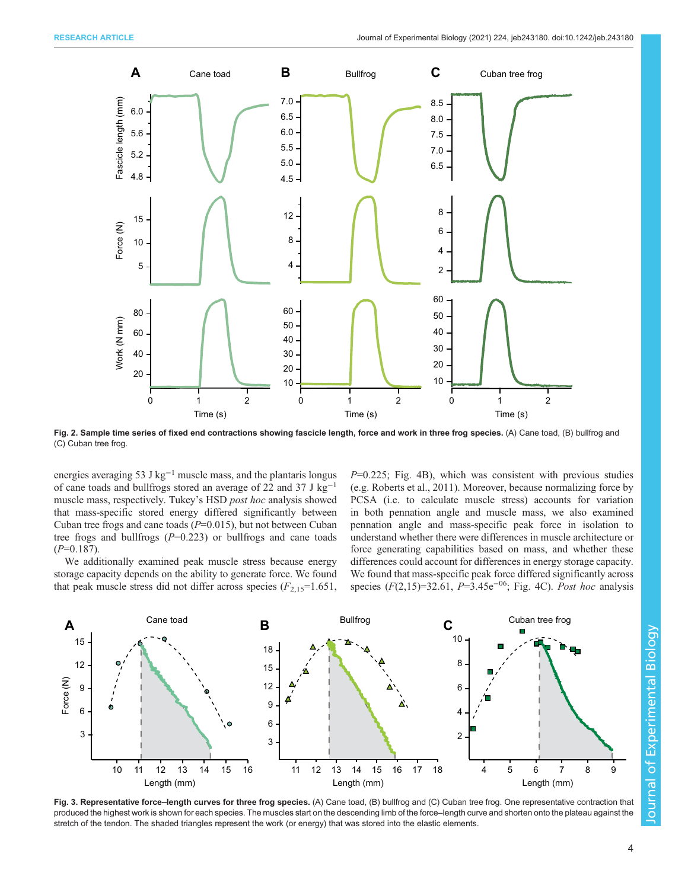<span id="page-3-0"></span>

Fig. 2. Sample time series of fixed end contractions showing fascicle length, force and work in three frog species. (A) Cane toad, (B) bullfrog and (C) Cuban tree frog.

energies averaging 53 J kg−<sup>1</sup> muscle mass, and the plantaris longus of cane toads and bullfrogs stored an average of 22 and 37 J kg−<sup>1</sup> muscle mass, respectively. Tukey's HSD post hoc analysis showed that mass-specific stored energy differed significantly between Cuban tree frogs and cane toads  $(P=0.015)$ , but not between Cuban tree frogs and bullfrogs  $(P=0.223)$  or bullfrogs and cane toads  $(P=0.187)$ .

We additionally examined peak muscle stress because energy storage capacity depends on the ability to generate force. We found that peak muscle stress did not differ across species  $(F_{2,15}=1.651)$ ,  $P=0.225$ ; [Fig. 4B](#page-4-0)), which was consistent with previous studies (e.g. [Roberts et al., 2011](#page-6-0)). Moreover, because normalizing force by PCSA (i.e. to calculate muscle stress) accounts for variation in both pennation angle and muscle mass, we also examined pennation angle and mass-specific peak force in isolation to understand whether there were differences in muscle architecture or force generating capabilities based on mass, and whether these differences could account for differences in energy storage capacity. We found that mass-specific peak force differed significantly across species ( $F(2,15)=32.61$ ,  $P=\frac{3}{45}e^{-0.6}$ ; [Fig. 4C](#page-4-0)). Post hoc analysis



Fig. 3. Representative force-length curves for three frog species. (A) Cane toad, (B) bullfrog and (C) Cuban tree frog. One representative contraction that produced the highest work is shown for each species. The muscles start on the descending limb of the force–length curve and shorten onto the plateau against the stretch of the tendon. The shaded triangles represent the work (or energy) that was stored into the elastic elements.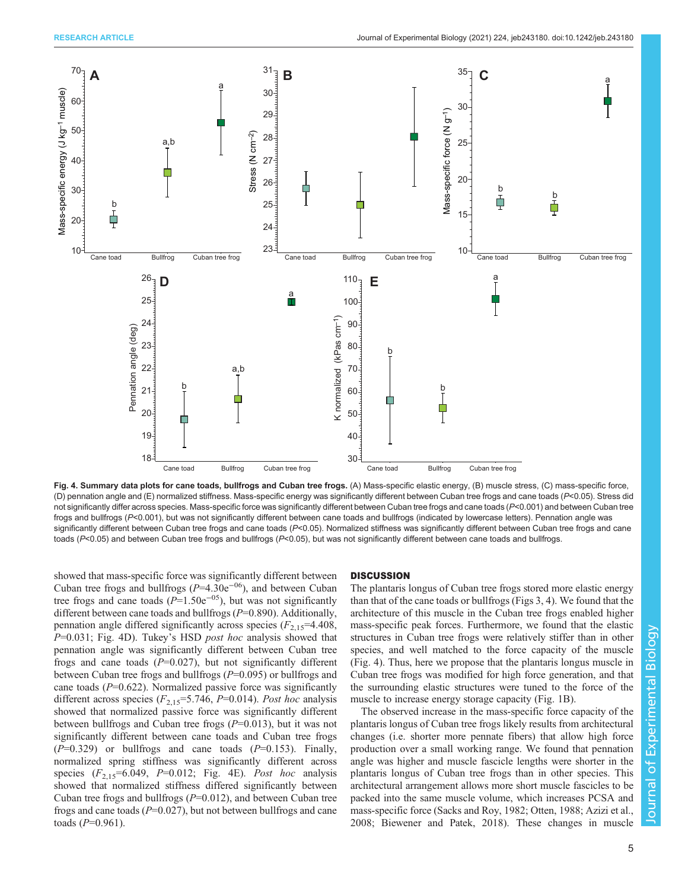<span id="page-4-0"></span>

Fig. 4. Summary data plots for cane toads, bullfrogs and Cuban tree frogs. (A) Mass-specific elastic energy, (B) muscle stress, (C) mass-specific force, (D) pennation angle and (E) normalized stiffness. Mass-specific energy was significantly different between Cuban tree frogs and cane toads (P<0.05). Stress did not significantly differ across species. Mass-specific force was significantly different between Cuban tree frogs and cane toads  $(P< 0.001)$  and between Cuban tree frogs and bullfrogs (P<0.001), but was not significantly different between cane toads and bullfrogs (indicated by lowercase letters). Pennation angle was significantly different between Cuban tree frogs and cane toads (P<0.05). Normalized stiffness was significantly different between Cuban tree frogs and cane toads (P<0.05) and between Cuban tree frogs and bullfrogs (P<0.05), but was not significantly different between cane toads and bullfrogs.

showed that mass-specific force was significantly different between Cuban tree frogs and bullfrogs ( $P=4.30e^{-0.6}$ ), and between Cuban tree frogs and cane toads ( $P=1.50e^{-0.5}$ ), but was not significantly different between cane toads and bullfrogs  $(P=0.890)$ . Additionally, pennation angle differed significantly across species  $(F_{2,15} = 4.408,$ P=0.031; Fig. 4D). Tukey's HSD post hoc analysis showed that pennation angle was significantly different between Cuban tree frogs and cane toads  $(P=0.027)$ , but not significantly different between Cuban tree frogs and bullfrogs (P=0.095) or bullfrogs and cane toads  $(P=0.622)$ . Normalized passive force was significantly different across species  $(F_{2,15}=5.746, P=0.014)$ . Post hoc analysis showed that normalized passive force was significantly different between bullfrogs and Cuban tree frogs  $(P=0.013)$ , but it was not significantly different between cane toads and Cuban tree frogs  $(P=0.329)$  or bullfrogs and cane toads  $(P=0.153)$ . Finally, normalized spring stiffness was significantly different across species  $(F_{2,15} = 6.049, P = 0.012;$  Fig. 4E). Post hoc analysis showed that normalized stiffness differed significantly between Cuban tree frogs and bullfrogs  $(P=0.012)$ , and between Cuban tree frogs and cane toads  $(P=0.027)$ , but not between bullfrogs and cane toads ( $P=0.961$ ).

The plantaris longus of Cuban tree frogs stored more elastic energy than that of the cane toads or bullfrogs ([Figs 3,](#page-3-0) 4). We found that the architecture of this muscle in the Cuban tree frogs enabled higher mass-specific peak forces. Furthermore, we found that the elastic structures in Cuban tree frogs were relatively stiffer than in other species, and well matched to the force capacity of the muscle (Fig. 4). Thus, here we propose that the plantaris longus muscle in Cuban tree frogs was modified for high force generation, and that the surrounding elastic structures were tuned to the force of the muscle to increase energy storage capacity ([Fig. 1](#page-1-0)B).

The observed increase in the mass-specific force capacity of the plantaris longus of Cuban tree frogs likely results from architectural changes (i.e. shorter more pennate fibers) that allow high force production over a small working range. We found that pennation angle was higher and muscle fascicle lengths were shorter in the plantaris longus of Cuban tree frogs than in other species. This architectural arrangement allows more short muscle fascicles to be packed into the same muscle volume, which increases PCSA and mass-specific force [\(Sacks and Roy, 1982; Otten, 1988; Azizi et al.,](#page-6-0) [2008; Biewener and Patek, 2018](#page-6-0)). These changes in muscle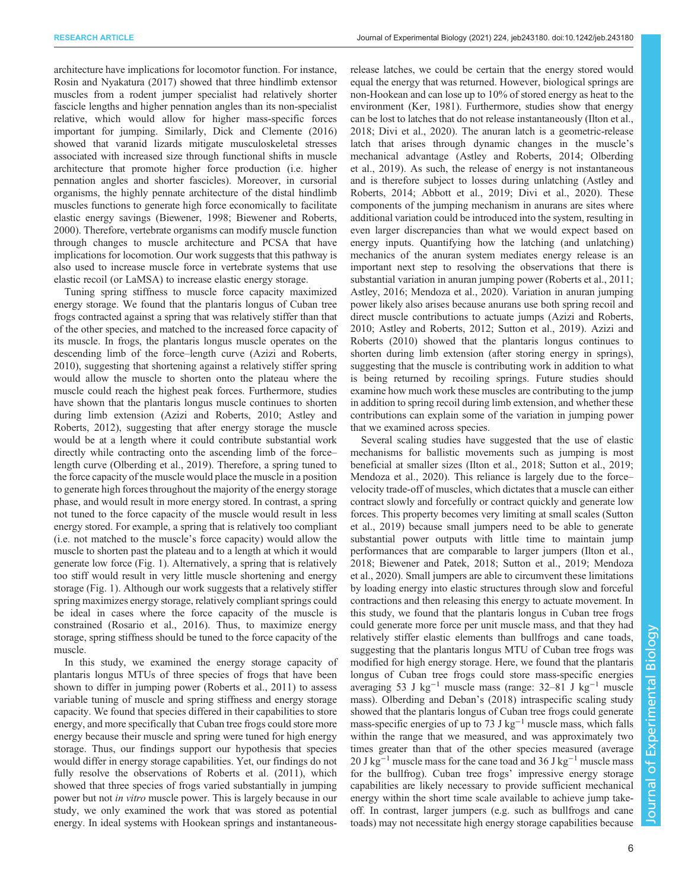architecture have implications for locomotor function. For instance, [Rosin and Nyakatura \(2017\)](#page-6-0) showed that three hindlimb extensor muscles from a rodent jumper specialist had relatively shorter fascicle lengths and higher pennation angles than its non-specialist relative, which would allow for higher mass-specific forces important for jumping. Similarly, [Dick and Clemente \(2016\)](#page-6-0) showed that varanid lizards mitigate musculoskeletal stresses associated with increased size through functional shifts in muscle architecture that promote higher force production (i.e. higher pennation angles and shorter fascicles). Moreover, in cursorial organisms, the highly pennate architecture of the distal hindlimb muscles functions to generate high force economically to facilitate elastic energy savings ([Biewener, 1998](#page-6-0); [Biewener and Roberts,](#page-6-0) [2000](#page-6-0)). Therefore, vertebrate organisms can modify muscle function through changes to muscle architecture and PCSA that have implications for locomotion. Our work suggests that this pathway is also used to increase muscle force in vertebrate systems that use elastic recoil (or LaMSA) to increase elastic energy storage.

Tuning spring stiffness to muscle force capacity maximized energy storage. We found that the plantaris longus of Cuban tree frogs contracted against a spring that was relatively stiffer than that of the other species, and matched to the increased force capacity of its muscle. In frogs, the plantaris longus muscle operates on the descending limb of the force–length curve [\(Azizi and Roberts,](#page-6-0) [2010](#page-6-0)), suggesting that shortening against a relatively stiffer spring would allow the muscle to shorten onto the plateau where the muscle could reach the highest peak forces. Furthermore, studies have shown that the plantaris longus muscle continues to shorten during limb extension [\(Azizi and Roberts, 2010](#page-6-0); [Astley and](#page-6-0) [Roberts, 2012\)](#page-6-0), suggesting that after energy storage the muscle would be at a length where it could contribute substantial work directly while contracting onto the ascending limb of the force– length curve [\(Olberding et al., 2019](#page-6-0)). Therefore, a spring tuned to the force capacity of the muscle would place the muscle in a position to generate high forces throughout the majority of the energy storage phase, and would result in more energy stored. In contrast, a spring not tuned to the force capacity of the muscle would result in less energy stored. For example, a spring that is relatively too compliant (i.e. not matched to the muscle's force capacity) would allow the muscle to shorten past the plateau and to a length at which it would generate low force [\(Fig. 1](#page-1-0)). Alternatively, a spring that is relatively too stiff would result in very little muscle shortening and energy storage [\(Fig. 1](#page-1-0)). Although our work suggests that a relatively stiffer spring maximizes energy storage, relatively compliant springs could be ideal in cases where the force capacity of the muscle is constrained [\(Rosario et al., 2016\)](#page-6-0). Thus, to maximize energy storage, spring stiffness should be tuned to the force capacity of the muscle.

In this study, we examined the energy storage capacity of plantaris longus MTUs of three species of frogs that have been shown to differ in jumping power ([Roberts et al., 2011](#page-6-0)) to assess variable tuning of muscle and spring stiffness and energy storage capacity. We found that species differed in their capabilities to store energy, and more specifically that Cuban tree frogs could store more energy because their muscle and spring were tuned for high energy storage. Thus, our findings support our hypothesis that species would differ in energy storage capabilities. Yet, our findings do not fully resolve the observations of [Roberts et al. \(2011\),](#page-6-0) which showed that three species of frogs varied substantially in jumping power but not in vitro muscle power. This is largely because in our study, we only examined the work that was stored as potential energy. In ideal systems with Hookean springs and instantaneousrelease latches, we could be certain that the energy stored would equal the energy that was returned. However, biological springs are non-Hookean and can lose up to 10% of stored energy as heat to the environment ([Ker, 1981\)](#page-6-0). Furthermore, studies show that energy can be lost to latches that do not release instantaneously ([Ilton et al.,](#page-6-0) [2018; Divi et al., 2020\)](#page-6-0). The anuran latch is a geometric-release latch that arises through dynamic changes in the muscle's mechanical advantage [\(Astley and Roberts, 2014; Olberding](#page-6-0) [et al., 2019](#page-6-0)). As such, the release of energy is not instantaneous and is therefore subject to losses during unlatching [\(Astley and](#page-6-0) [Roberts, 2014; Abbott et al., 2019](#page-6-0); [Divi et al., 2020\)](#page-6-0). These components of the jumping mechanism in anurans are sites where additional variation could be introduced into the system, resulting in even larger discrepancies than what we would expect based on energy inputs. Quantifying how the latching (and unlatching) mechanics of the anuran system mediates energy release is an important next step to resolving the observations that there is substantial variation in anuran jumping power ([Roberts et al., 2011](#page-6-0); [Astley, 2016](#page-6-0); [Mendoza et al., 2020](#page-6-0)). Variation in anuran jumping power likely also arises because anurans use both spring recoil and direct muscle contributions to actuate jumps [\(Azizi and Roberts,](#page-6-0) [2010; Astley and Roberts, 2012](#page-6-0); [Sutton et al., 2019\)](#page-6-0). [Azizi and](#page-6-0) [Roberts \(2010\)](#page-6-0) showed that the plantaris longus continues to shorten during limb extension (after storing energy in springs), suggesting that the muscle is contributing work in addition to what is being returned by recoiling springs. Future studies should examine how much work these muscles are contributing to the jump in addition to spring recoil during limb extension, and whether these contributions can explain some of the variation in jumping power that we examined across species.

Several scaling studies have suggested that the use of elastic mechanisms for ballistic movements such as jumping is most beneficial at smaller sizes ([Ilton et al., 2018](#page-6-0); [Sutton et al., 2019](#page-6-0); [Mendoza et al., 2020](#page-6-0)). This reliance is largely due to the force– velocity trade-off of muscles, which dictates that a muscle can either contract slowly and forcefully or contract quickly and generate low forces. This property becomes very limiting at small scales [\(Sutton](#page-6-0) [et al., 2019](#page-6-0)) because small jumpers need to be able to generate substantial power outputs with little time to maintain jump performances that are comparable to larger jumpers [\(Ilton et al.,](#page-6-0) [2018; Biewener and Patek, 2018](#page-6-0); [Sutton et al., 2019](#page-6-0); [Mendoza](#page-6-0) [et al., 2020\)](#page-6-0). Small jumpers are able to circumvent these limitations by loading energy into elastic structures through slow and forceful contractions and then releasing this energy to actuate movement. In this study, we found that the plantaris longus in Cuban tree frogs could generate more force per unit muscle mass, and that they had relatively stiffer elastic elements than bullfrogs and cane toads, suggesting that the plantaris longus MTU of Cuban tree frogs was modified for high energy storage. Here, we found that the plantaris longus of Cuban tree frogs could store mass-specific energies averaging 53 J kg<sup>-1</sup> muscle mass (range:  $32-81$  J kg<sup>-1</sup> muscle mass). [Olberding and Deban](#page-6-0)'s (2018) intraspecific scaling study showed that the plantaris longus of Cuban tree frogs could generate mass-specific energies of up to 73 J kg<sup> $-1$ </sup> muscle mass, which falls within the range that we measured, and was approximately two times greater than that of the other species measured (average 20 J kg<sup>-1</sup> muscle mass for the cane toad and 36 J kg<sup>-1</sup> muscle mass for the bullfrog). Cuban tree frogs' impressive energy storage capabilities are likely necessary to provide sufficient mechanical energy within the short time scale available to achieve jump takeoff. In contrast, larger jumpers (e.g. such as bullfrogs and cane toads) may not necessitate high energy storage capabilities because

Journal of Experimental Biology

Journal of

Experimental Biology